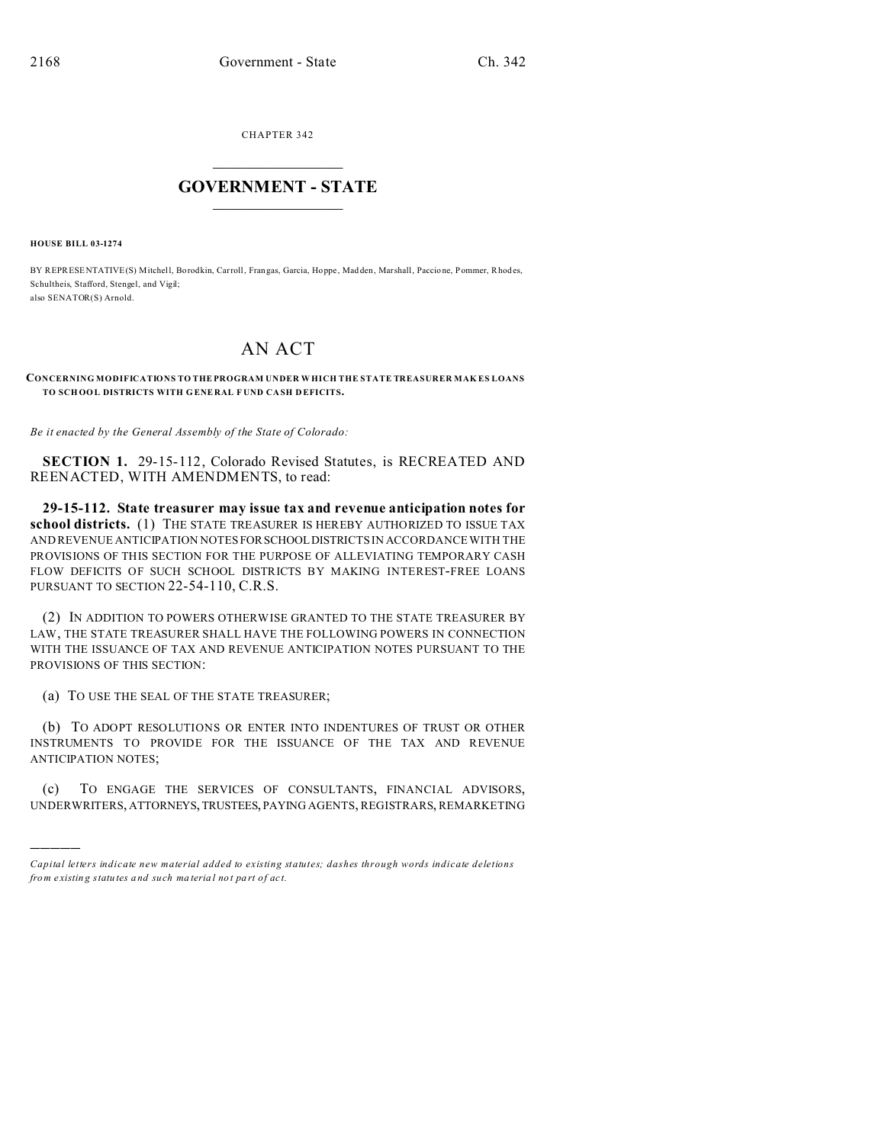CHAPTER 342  $\overline{\phantom{a}}$  , where  $\overline{\phantom{a}}$ 

## **GOVERNMENT - STATE**  $\_$   $\_$   $\_$   $\_$   $\_$   $\_$   $\_$   $\_$   $\_$

**HOUSE BILL 03-1274**

)))))

BY REPRESENTATIVE(S) Mitchell, Borodkin, Carroll, Frangas, Garcia, Hoppe, Madden, Marshall, Paccione, Pommer, Rhodes, Schultheis, Stafford, Stengel, and Vigil; also SENATOR(S) Arnold.

## AN ACT

## **CONCERNING MODIFICATIONS TO THEPROGRAM UNDER W HICH THE STATE TREASURER MAK ES LOANS TO SCH OOL DISTRICTS WITH G ENERAL F UND CA SH DEFICITS.**

*Be it enacted by the General Assembly of the State of Colorado:*

**SECTION 1.** 29-15-112, Colorado Revised Statutes, is RECREATED AND REENACTED, WITH AMENDMENTS, to read:

**29-15-112. State treasurer may issue tax and revenue anticipation notes for school districts.** (1) THE STATE TREASURER IS HEREBY AUTHORIZED TO ISSUE TAX AND REVENUE ANTICIPATION NOTESFORSCHOOLDISTRICTS IN ACCORDANCE WITH THE PROVISIONS OF THIS SECTION FOR THE PURPOSE OF ALLEVIATING TEMPORARY CASH FLOW DEFICITS OF SUCH SCHOOL DISTRICTS BY MAKING INTEREST-FREE LOANS PURSUANT TO SECTION 22-54-110, C.R.S.

(2) IN ADDITION TO POWERS OTHERWISE GRANTED TO THE STATE TREASURER BY LAW, THE STATE TREASURER SHALL HAVE THE FOLLOWING POWERS IN CONNECTION WITH THE ISSUANCE OF TAX AND REVENUE ANTICIPATION NOTES PURSUANT TO THE PROVISIONS OF THIS SECTION:

(a) TO USE THE SEAL OF THE STATE TREASURER;

(b) TO ADOPT RESOLUTIONS OR ENTER INTO INDENTURES OF TRUST OR OTHER INSTRUMENTS TO PROVIDE FOR THE ISSUANCE OF THE TAX AND REVENUE ANTICIPATION NOTES;

(c) TO ENGAGE THE SERVICES OF CONSULTANTS, FINANCIAL ADVISORS, UNDERWRITERS, ATTORNEYS,TRUSTEES, PAYING AGENTS, REGISTRARS, REMARKETING

*Capital letters indicate new material added to existing statutes; dashes through words indicate deletions from e xistin g statu tes a nd such ma teria l no t pa rt of ac t.*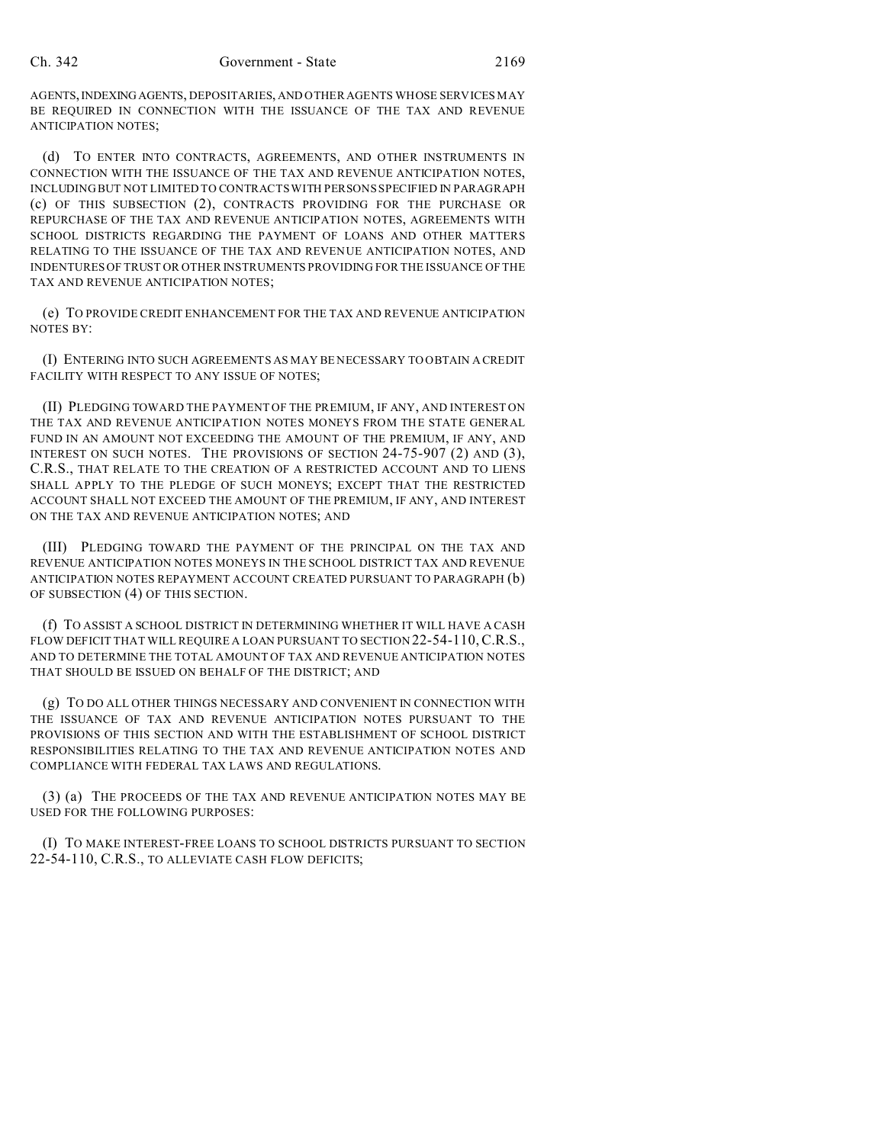AGENTS,INDEXING AGENTS, DEPOSITARIES, AND OTHER AGENTS WHOSE SERVICES MAY BE REQUIRED IN CONNECTION WITH THE ISSUANCE OF THE TAX AND REVENUE ANTICIPATION NOTES;

(d) TO ENTER INTO CONTRACTS, AGREEMENTS, AND OTHER INSTRUMENTS IN CONNECTION WITH THE ISSUANCE OF THE TAX AND REVENUE ANTICIPATION NOTES, INCLUDING BUT NOT LIMITED TO CONTRACTS WITH PERSONS SPECIFIED IN PARAGRAPH (c) OF THIS SUBSECTION (2), CONTRACTS PROVIDING FOR THE PURCHASE OR REPURCHASE OF THE TAX AND REVENUE ANTICIPATION NOTES, AGREEMENTS WITH SCHOOL DISTRICTS REGARDING THE PAYMENT OF LOANS AND OTHER MATTERS RELATING TO THE ISSUANCE OF THE TAX AND REVENUE ANTICIPATION NOTES, AND INDENTURES OF TRUST OR OTHER INSTRUMENTS PROVIDING FOR THE ISSUANCE OF THE TAX AND REVENUE ANTICIPATION NOTES;

(e) TO PROVIDE CREDIT ENHANCEMENT FOR THE TAX AND REVENUE ANTICIPATION NOTES BY:

(I) ENTERING INTO SUCH AGREEMENTS AS MAY BE NECESSARY TO OBTAIN A CREDIT FACILITY WITH RESPECT TO ANY ISSUE OF NOTES;

(II) PLEDGING TOWARD THE PAYMENT OF THE PREMIUM, IF ANY, AND INTEREST ON THE TAX AND REVENUE ANTICIPATION NOTES MONEYS FROM THE STATE GENERAL FUND IN AN AMOUNT NOT EXCEEDING THE AMOUNT OF THE PREMIUM, IF ANY, AND INTEREST ON SUCH NOTES. THE PROVISIONS OF SECTION 24-75-907 (2) AND (3), C.R.S., THAT RELATE TO THE CREATION OF A RESTRICTED ACCOUNT AND TO LIENS SHALL APPLY TO THE PLEDGE OF SUCH MONEYS; EXCEPT THAT THE RESTRICTED ACCOUNT SHALL NOT EXCEED THE AMOUNT OF THE PREMIUM, IF ANY, AND INTEREST ON THE TAX AND REVENUE ANTICIPATION NOTES; AND

(III) PLEDGING TOWARD THE PAYMENT OF THE PRINCIPAL ON THE TAX AND REVENUE ANTICIPATION NOTES MONEYS IN THE SCHOOL DISTRICT TAX AND REVENUE ANTICIPATION NOTES REPAYMENT ACCOUNT CREATED PURSUANT TO PARAGRAPH (b) OF SUBSECTION (4) OF THIS SECTION.

(f) TO ASSIST A SCHOOL DISTRICT IN DETERMINING WHETHER IT WILL HAVE A CASH FLOW DEFICIT THAT WILL REQUIRE A LOAN PURSUANT TO SECTION 22-54-110,C.R.S., AND TO DETERMINE THE TOTAL AMOUNT OF TAX AND REVENUE ANTICIPATION NOTES THAT SHOULD BE ISSUED ON BEHALF OF THE DISTRICT; AND

(g) TO DO ALL OTHER THINGS NECESSARY AND CONVENIENT IN CONNECTION WITH THE ISSUANCE OF TAX AND REVENUE ANTICIPATION NOTES PURSUANT TO THE PROVISIONS OF THIS SECTION AND WITH THE ESTABLISHMENT OF SCHOOL DISTRICT RESPONSIBILITIES RELATING TO THE TAX AND REVENUE ANTICIPATION NOTES AND COMPLIANCE WITH FEDERAL TAX LAWS AND REGULATIONS.

(3) (a) THE PROCEEDS OF THE TAX AND REVENUE ANTICIPATION NOTES MAY BE USED FOR THE FOLLOWING PURPOSES:

(I) TO MAKE INTEREST-FREE LOANS TO SCHOOL DISTRICTS PURSUANT TO SECTION 22-54-110, C.R.S., TO ALLEVIATE CASH FLOW DEFICITS;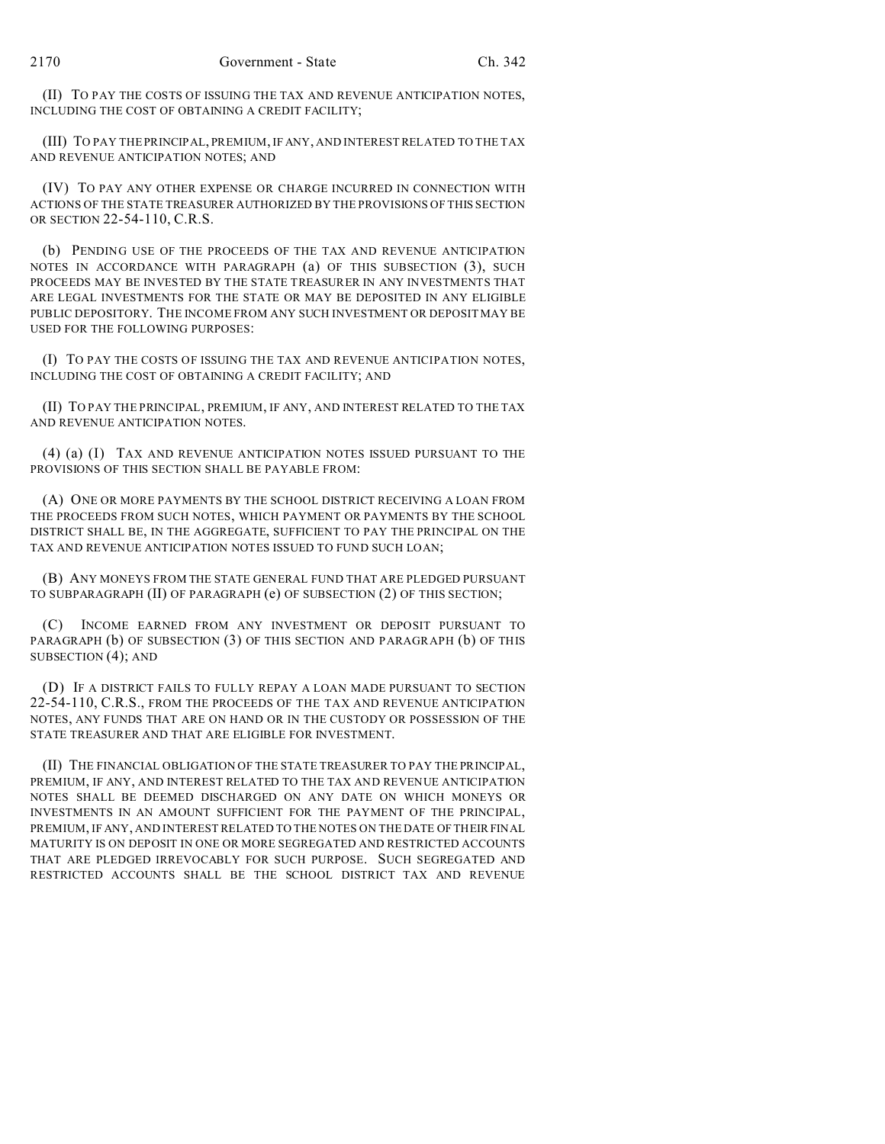(II) TO PAY THE COSTS OF ISSUING THE TAX AND REVENUE ANTICIPATION NOTES, INCLUDING THE COST OF OBTAINING A CREDIT FACILITY;

(III) TO PAY THE PRINCIPAL, PREMIUM, IF ANY, AND INTEREST RELATED TO THE TAX AND REVENUE ANTICIPATION NOTES; AND

(IV) TO PAY ANY OTHER EXPENSE OR CHARGE INCURRED IN CONNECTION WITH ACTIONS OF THE STATE TREASURER AUTHORIZED BY THE PROVISIONS OF THIS SECTION OR SECTION 22-54-110, C.R.S.

(b) PENDING USE OF THE PROCEEDS OF THE TAX AND REVENUE ANTICIPATION NOTES IN ACCORDANCE WITH PARAGRAPH (a) OF THIS SUBSECTION (3), SUCH PROCEEDS MAY BE INVESTED BY THE STATE TREASURER IN ANY INVESTMENTS THAT ARE LEGAL INVESTMENTS FOR THE STATE OR MAY BE DEPOSITED IN ANY ELIGIBLE PUBLIC DEPOSITORY. THE INCOME FROM ANY SUCH INVESTMENT OR DEPOSIT MAY BE USED FOR THE FOLLOWING PURPOSES:

(I) TO PAY THE COSTS OF ISSUING THE TAX AND REVENUE ANTICIPATION NOTES, INCLUDING THE COST OF OBTAINING A CREDIT FACILITY; AND

(II) TO PAY THE PRINCIPAL, PREMIUM, IF ANY, AND INTEREST RELATED TO THE TAX AND REVENUE ANTICIPATION NOTES.

(4) (a) (I) TAX AND REVENUE ANTICIPATION NOTES ISSUED PURSUANT TO THE PROVISIONS OF THIS SECTION SHALL BE PAYABLE FROM:

(A) ONE OR MORE PAYMENTS BY THE SCHOOL DISTRICT RECEIVING A LOAN FROM THE PROCEEDS FROM SUCH NOTES, WHICH PAYMENT OR PAYMENTS BY THE SCHOOL DISTRICT SHALL BE, IN THE AGGREGATE, SUFFICIENT TO PAY THE PRINCIPAL ON THE TAX AND REVENUE ANTICIPATION NOTES ISSUED TO FUND SUCH LOAN;

(B) ANY MONEYS FROM THE STATE GENERAL FUND THAT ARE PLEDGED PURSUANT TO SUBPARAGRAPH (II) OF PARAGRAPH (e) OF SUBSECTION (2) OF THIS SECTION;

(C) INCOME EARNED FROM ANY INVESTMENT OR DEPOSIT PURSUANT TO PARAGRAPH (b) OF SUBSECTION (3) OF THIS SECTION AND PARAGRAPH (b) OF THIS SUBSECTION (4); AND

(D) IF A DISTRICT FAILS TO FULLY REPAY A LOAN MADE PURSUANT TO SECTION 22-54-110, C.R.S., FROM THE PROCEEDS OF THE TAX AND REVENUE ANTICIPATION NOTES, ANY FUNDS THAT ARE ON HAND OR IN THE CUSTODY OR POSSESSION OF THE STATE TREASURER AND THAT ARE ELIGIBLE FOR INVESTMENT.

(II) THE FINANCIAL OBLIGATION OF THE STATE TREASURER TO PAY THE PRINCIPAL, PREMIUM, IF ANY, AND INTEREST RELATED TO THE TAX AND REVENUE ANTICIPATION NOTES SHALL BE DEEMED DISCHARGED ON ANY DATE ON WHICH MONEYS OR INVESTMENTS IN AN AMOUNT SUFFICIENT FOR THE PAYMENT OF THE PRINCIPAL, PREMIUM, IF ANY, AND INTEREST RELATED TO THE NOTES ON THE DATE OF THEIR FINAL MATURITY IS ON DEPOSIT IN ONE OR MORE SEGREGATED AND RESTRICTED ACCOUNTS THAT ARE PLEDGED IRREVOCABLY FOR SUCH PURPOSE. SUCH SEGREGATED AND RESTRICTED ACCOUNTS SHALL BE THE SCHOOL DISTRICT TAX AND REVENUE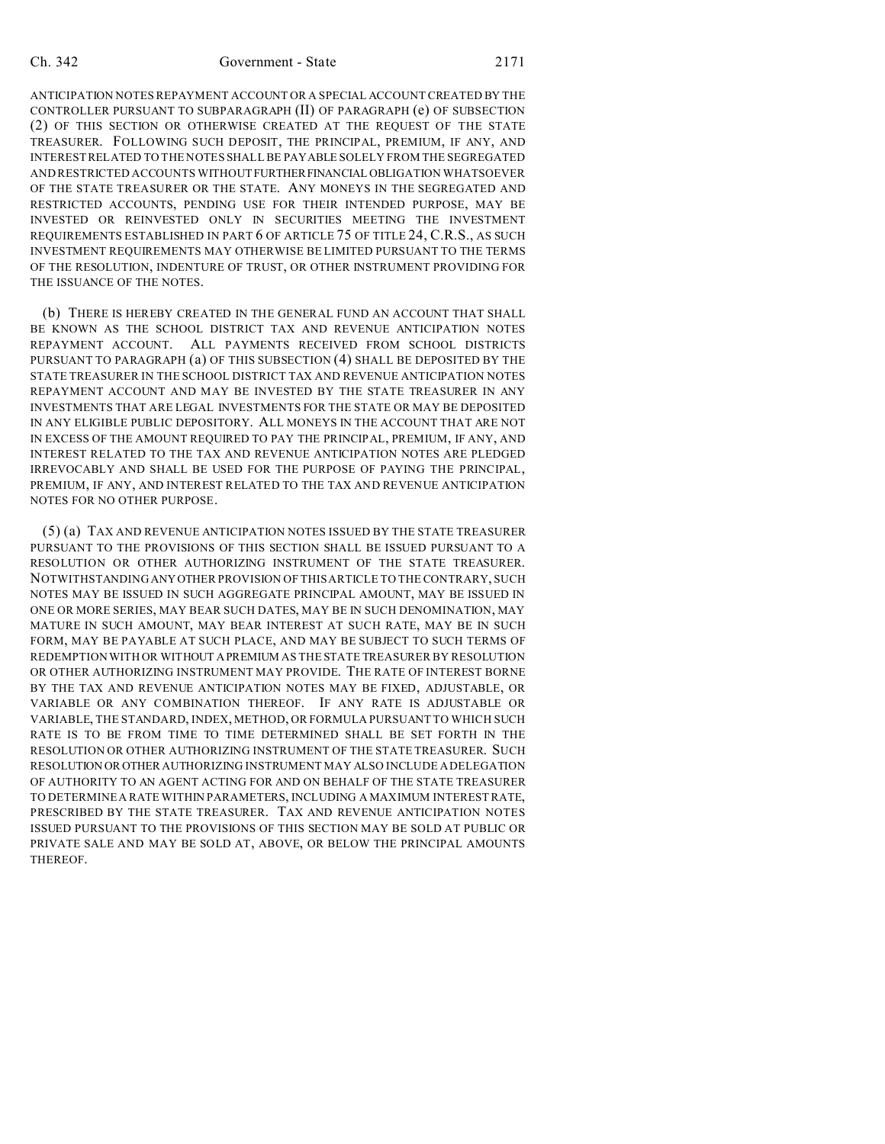## Ch. 342 Government - State 2171

ANTICIPATION NOTES REPAYMENT ACCOUNT OR A SPECIAL ACCOUNT CREATED BY THE CONTROLLER PURSUANT TO SUBPARAGRAPH (II) OF PARAGRAPH (e) OF SUBSECTION (2) OF THIS SECTION OR OTHERWISE CREATED AT THE REQUEST OF THE STATE TREASURER. FOLLOWING SUCH DEPOSIT, THE PRINCIPAL, PREMIUM, IF ANY, AND INTEREST RELATED TO THE NOTES SHALL BE PAYABLE SOLELY FROM THE SEGREGATED AND RESTRICTED ACCOUNTS WITHOUTFURTHERFINANCIAL OBLIGATION WHATSOEVER OF THE STATE TREASURER OR THE STATE. ANY MONEYS IN THE SEGREGATED AND RESTRICTED ACCOUNTS, PENDING USE FOR THEIR INTENDED PURPOSE, MAY BE INVESTED OR REINVESTED ONLY IN SECURITIES MEETING THE INVESTMENT REQUIREMENTS ESTABLISHED IN PART 6 OF ARTICLE 75 OF TITLE 24, C.R.S., AS SUCH INVESTMENT REQUIREMENTS MAY OTHERWISE BE LIMITED PURSUANT TO THE TERMS OF THE RESOLUTION, INDENTURE OF TRUST, OR OTHER INSTRUMENT PROVIDING FOR THE ISSUANCE OF THE NOTES.

(b) THERE IS HEREBY CREATED IN THE GENERAL FUND AN ACCOUNT THAT SHALL BE KNOWN AS THE SCHOOL DISTRICT TAX AND REVENUE ANTICIPATION NOTES REPAYMENT ACCOUNT. ALL PAYMENTS RECEIVED FROM SCHOOL DISTRICTS PURSUANT TO PARAGRAPH (a) OF THIS SUBSECTION (4) SHALL BE DEPOSITED BY THE STATE TREASURER IN THE SCHOOL DISTRICT TAX AND REVENUE ANTICIPATION NOTES REPAYMENT ACCOUNT AND MAY BE INVESTED BY THE STATE TREASURER IN ANY INVESTMENTS THAT ARE LEGAL INVESTMENTS FOR THE STATE OR MAY BE DEPOSITED IN ANY ELIGIBLE PUBLIC DEPOSITORY. ALL MONEYS IN THE ACCOUNT THAT ARE NOT IN EXCESS OF THE AMOUNT REQUIRED TO PAY THE PRINCIPAL, PREMIUM, IF ANY, AND INTEREST RELATED TO THE TAX AND REVENUE ANTICIPATION NOTES ARE PLEDGED IRREVOCABLY AND SHALL BE USED FOR THE PURPOSE OF PAYING THE PRINCIPAL, PREMIUM, IF ANY, AND INTEREST RELATED TO THE TAX AND REVENUE ANTICIPATION NOTES FOR NO OTHER PURPOSE.

(5) (a) TAX AND REVENUE ANTICIPATION NOTES ISSUED BY THE STATE TREASURER PURSUANT TO THE PROVISIONS OF THIS SECTION SHALL BE ISSUED PURSUANT TO A RESOLUTION OR OTHER AUTHORIZING INSTRUMENT OF THE STATE TREASURER. NOTWITHSTANDING ANYOTHER PROVISION OF THIS ARTICLE TO THE CONTRARY, SUCH NOTES MAY BE ISSUED IN SUCH AGGREGATE PRINCIPAL AMOUNT, MAY BE ISSUED IN ONE OR MORE SERIES, MAY BEAR SUCH DATES, MAY BE IN SUCH DENOMINATION, MAY MATURE IN SUCH AMOUNT, MAY BEAR INTEREST AT SUCH RATE, MAY BE IN SUCH FORM, MAY BE PAYABLE AT SUCH PLACE, AND MAY BE SUBJECT TO SUCH TERMS OF REDEMPTION WITH OR WITHOUT APREMIUM AS THE STATE TREASURER BY RESOLUTION OR OTHER AUTHORIZING INSTRUMENT MAY PROVIDE. THE RATE OF INTEREST BORNE BY THE TAX AND REVENUE ANTICIPATION NOTES MAY BE FIXED, ADJUSTABLE, OR VARIABLE OR ANY COMBINATION THEREOF. IF ANY RATE IS ADJUSTABLE OR VARIABLE, THE STANDARD, INDEX, METHOD, OR FORMULA PURSUANT TO WHICH SUCH RATE IS TO BE FROM TIME TO TIME DETERMINED SHALL BE SET FORTH IN THE RESOLUTION OR OTHER AUTHORIZING INSTRUMENT OF THE STATE TREASURER. SUCH RESOLUTION OR OTHER AUTHORIZING INSTRUMENT MAY ALSO INCLUDE A DELEGATION OF AUTHORITY TO AN AGENT ACTING FOR AND ON BEHALF OF THE STATE TREASURER TO DETERMINE A RATE WITHIN PARAMETERS, INCLUDING A MAXIMUM INTEREST RATE, PRESCRIBED BY THE STATE TREASURER. TAX AND REVENUE ANTICIPATION NOTES ISSUED PURSUANT TO THE PROVISIONS OF THIS SECTION MAY BE SOLD AT PUBLIC OR PRIVATE SALE AND MAY BE SOLD AT, ABOVE, OR BELOW THE PRINCIPAL AMOUNTS THEREOF.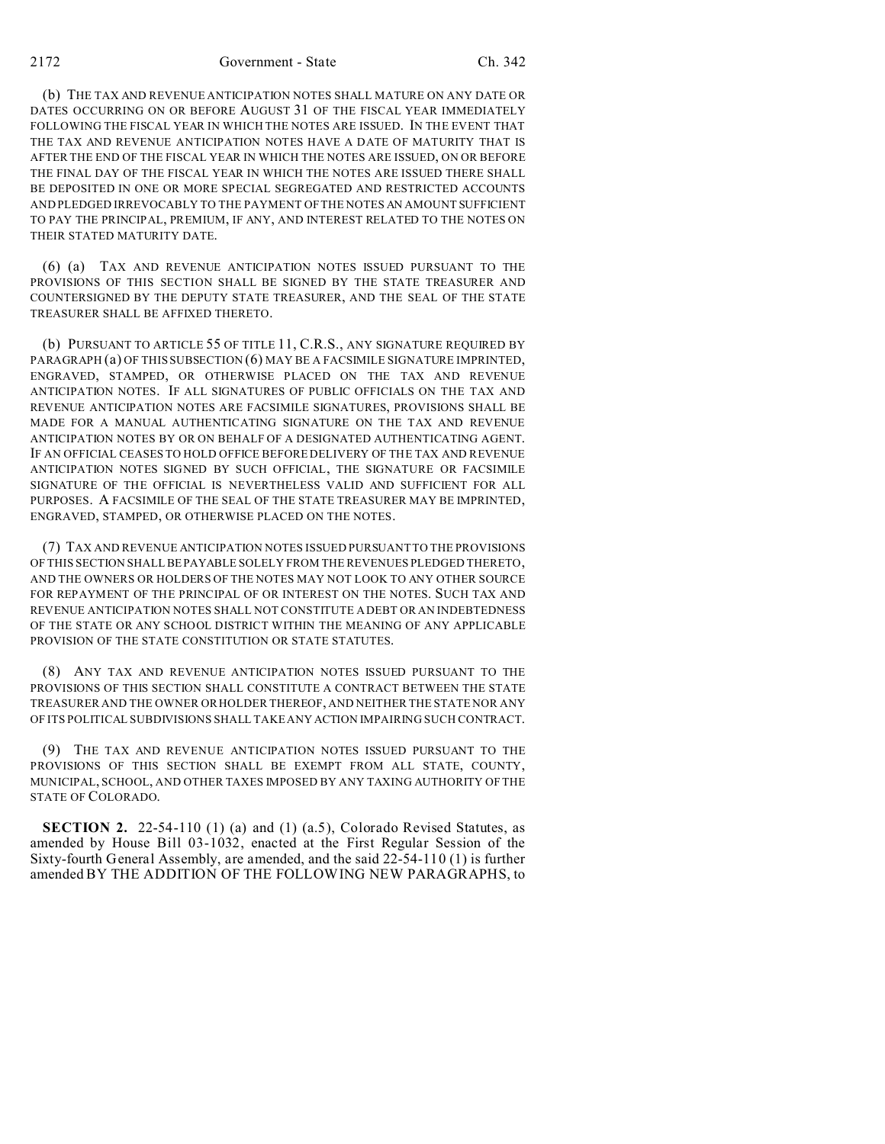2172 Government - State Ch. 342

(b) THE TAX AND REVENUE ANTICIPATION NOTES SHALL MATURE ON ANY DATE OR DATES OCCURRING ON OR BEFORE AUGUST 31 OF THE FISCAL YEAR IMMEDIATELY FOLLOWING THE FISCAL YEAR IN WHICH THE NOTES ARE ISSUED. IN THE EVENT THAT THE TAX AND REVENUE ANTICIPATION NOTES HAVE A DATE OF MATURITY THAT IS AFTER THE END OF THE FISCAL YEAR IN WHICH THE NOTES ARE ISSUED, ON OR BEFORE THE FINAL DAY OF THE FISCAL YEAR IN WHICH THE NOTES ARE ISSUED THERE SHALL BE DEPOSITED IN ONE OR MORE SPECIAL SEGREGATED AND RESTRICTED ACCOUNTS AND PLEDGED IRREVOCABLY TO THE PAYMENT OF THE NOTES AN AMOUNT SUFFICIENT TO PAY THE PRINCIPAL, PREMIUM, IF ANY, AND INTEREST RELATED TO THE NOTES ON THEIR STATED MATURITY DATE.

(6) (a) TAX AND REVENUE ANTICIPATION NOTES ISSUED PURSUANT TO THE PROVISIONS OF THIS SECTION SHALL BE SIGNED BY THE STATE TREASURER AND COUNTERSIGNED BY THE DEPUTY STATE TREASURER, AND THE SEAL OF THE STATE TREASURER SHALL BE AFFIXED THERETO.

(b) PURSUANT TO ARTICLE 55 OF TITLE 11, C.R.S., ANY SIGNATURE REQUIRED BY PARAGRAPH (a) OF THIS SUBSECTION (6) MAY BE A FACSIMILE SIGNATURE IMPRINTED, ENGRAVED, STAMPED, OR OTHERWISE PLACED ON THE TAX AND REVENUE ANTICIPATION NOTES. IF ALL SIGNATURES OF PUBLIC OFFICIALS ON THE TAX AND REVENUE ANTICIPATION NOTES ARE FACSIMILE SIGNATURES, PROVISIONS SHALL BE MADE FOR A MANUAL AUTHENTICATING SIGNATURE ON THE TAX AND REVENUE ANTICIPATION NOTES BY OR ON BEHALF OF A DESIGNATED AUTHENTICATING AGENT. IF AN OFFICIAL CEASES TO HOLD OFFICE BEFORE DELIVERY OF THE TAX AND REVENUE ANTICIPATION NOTES SIGNED BY SUCH OFFICIAL, THE SIGNATURE OR FACSIMILE SIGNATURE OF THE OFFICIAL IS NEVERTHELESS VALID AND SUFFICIENT FOR ALL PURPOSES. A FACSIMILE OF THE SEAL OF THE STATE TREASURER MAY BE IMPRINTED, ENGRAVED, STAMPED, OR OTHERWISE PLACED ON THE NOTES.

(7) TAX AND REVENUE ANTICIPATION NOTES ISSUED PURSUANT TO THE PROVISIONS OF THIS SECTION SHALL BEPAYABLE SOLELY FROM THE REVENUES PLEDGED THERETO, AND THE OWNERS OR HOLDERS OF THE NOTES MAY NOT LOOK TO ANY OTHER SOURCE FOR REPAYMENT OF THE PRINCIPAL OF OR INTEREST ON THE NOTES. SUCH TAX AND REVENUE ANTICIPATION NOTES SHALL NOT CONSTITUTE A DEBT OR AN INDEBTEDNESS OF THE STATE OR ANY SCHOOL DISTRICT WITHIN THE MEANING OF ANY APPLICABLE PROVISION OF THE STATE CONSTITUTION OR STATE STATUTES.

(8) ANY TAX AND REVENUE ANTICIPATION NOTES ISSUED PURSUANT TO THE PROVISIONS OF THIS SECTION SHALL CONSTITUTE A CONTRACT BETWEEN THE STATE TREASURER AND THE OWNER OR HOLDER THEREOF, AND NEITHER THE STATE NOR ANY OF ITS POLITICAL SUBDIVISIONS SHALL TAKE ANY ACTION IMPAIRING SUCH CONTRACT.

(9) THE TAX AND REVENUE ANTICIPATION NOTES ISSUED PURSUANT TO THE PROVISIONS OF THIS SECTION SHALL BE EXEMPT FROM ALL STATE, COUNTY, MUNICIPAL, SCHOOL, AND OTHER TAXES IMPOSED BY ANY TAXING AUTHORITY OF THE STATE OF COLORADO.

**SECTION 2.** 22-54-110 (1) (a) and (1) (a.5), Colorado Revised Statutes, as amended by House Bill 03-1032, enacted at the First Regular Session of the Sixty-fourth General Assembly, are amended, and the said 22-54-110 (1) is further amended BY THE ADDITION OF THE FOLLOWING NEW PARAGRAPHS, to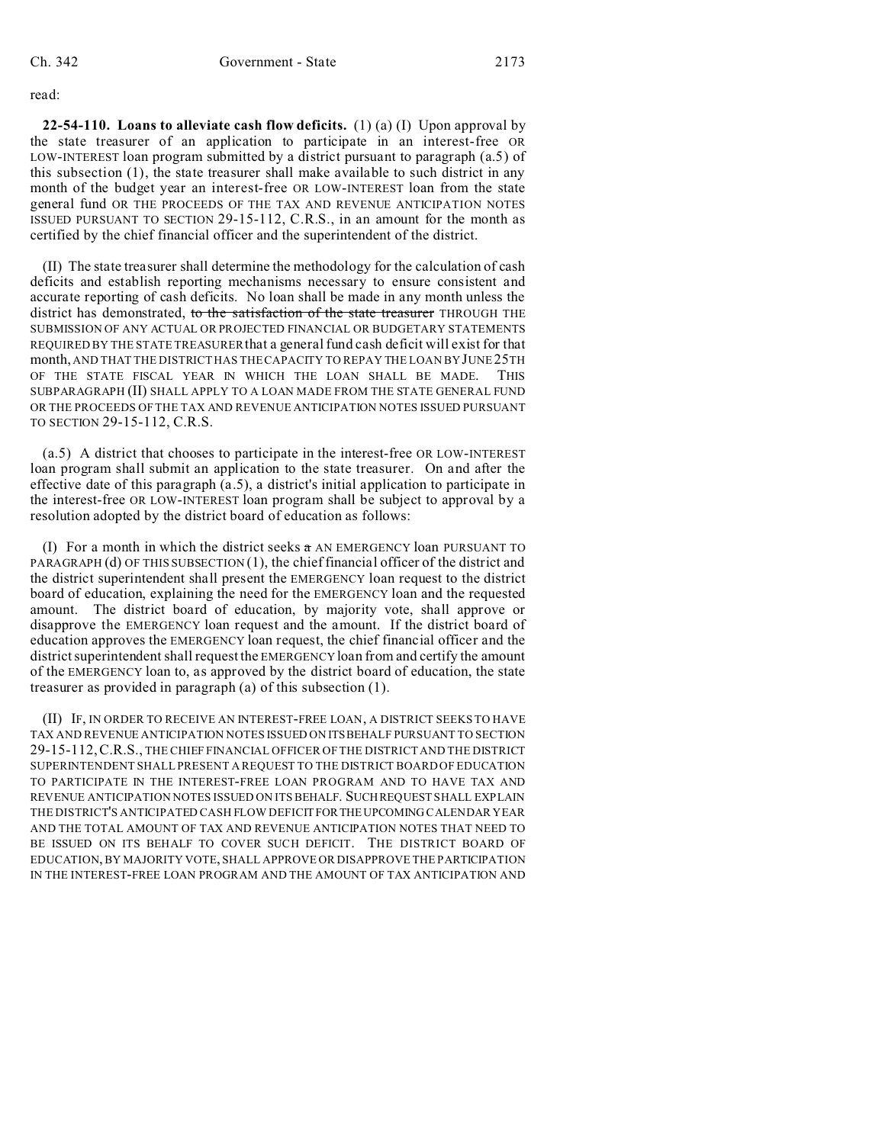read:

**22-54-110. Loans to alleviate cash flow deficits.** (1) (a) (I) Upon approval by the state treasurer of an application to participate in an interest-free OR LOW-INTEREST loan program submitted by a district pursuant to paragraph (a.5) of this subsection (1), the state treasurer shall make available to such district in any month of the budget year an interest-free OR LOW-INTEREST loan from the state general fund OR THE PROCEEDS OF THE TAX AND REVENUE ANTICIPATION NOTES ISSUED PURSUANT TO SECTION 29-15-112, C.R.S., in an amount for the month as certified by the chief financial officer and the superintendent of the district.

(II) The state treasurer shall determine the methodology for the calculation of cash deficits and establish reporting mechanisms necessary to ensure consistent and accurate reporting of cash deficits. No loan shall be made in any month unless the district has demonstrated, to the satisfaction of the state treasurer THROUGH THE SUBMISSION OF ANY ACTUAL OR PROJECTED FINANCIAL OR BUDGETARY STATEMENTS REQUIRED BY THE STATE TREASURERthat a general fund cash deficit will exist for that month, AND THAT THE DISTRICT HAS THE CAPACITY TO REPAY THE LOAN BY JUNE 25TH OF THE STATE FISCAL YEAR IN WHICH THE LOAN SHALL BE MADE. THIS SUBPARAGRAPH (II) SHALL APPLY TO A LOAN MADE FROM THE STATE GENERAL FUND OR THE PROCEEDS OF THE TAX AND REVENUE ANTICIPATION NOTES ISSUED PURSUANT TO SECTION 29-15-112, C.R.S.

(a.5) A district that chooses to participate in the interest-free OR LOW-INTEREST loan program shall submit an application to the state treasurer. On and after the effective date of this paragraph (a.5), a district's initial application to participate in the interest-free OR LOW-INTEREST loan program shall be subject to approval by a resolution adopted by the district board of education as follows:

(I) For a month in which the district seeks  $\alpha$  AN EMERGENCY loan PURSUANT TO PARAGRAPH (d) OF THIS SUBSECTION (1), the chief financial officer of the district and the district superintendent shall present the EMERGENCY loan request to the district board of education, explaining the need for the EMERGENCY loan and the requested amount. The district board of education, by majority vote, shall approve or disapprove the EMERGENCY loan request and the amount. If the district board of education approves the EMERGENCY loan request, the chief financial officer and the district superintendent shall request the EMERGENCY loan from and certify the amount of the EMERGENCY loan to, as approved by the district board of education, the state treasurer as provided in paragraph (a) of this subsection (1).

(II) IF, IN ORDER TO RECEIVE AN INTEREST-FREE LOAN, A DISTRICT SEEKS TO HAVE TAX AND REVENUE ANTICIPATION NOTES ISSUED ON ITSBEHALF PURSUANT TO SECTION 29-15-112,C.R.S., THE CHIEF FINANCIAL OFFICER OF THE DISTRICT AND THE DISTRICT SUPERINTENDENT SHALL PRESENT A REQUEST TO THE DISTRICT BOARD OF EDUCATION TO PARTICIPATE IN THE INTEREST-FREE LOAN PROGRAM AND TO HAVE TAX AND REVENUE ANTICIPATION NOTES ISSUED ON ITS BEHALF. SUCH REQUEST SHALL EXPLAIN THE DISTRICT'S ANTICIPATED CASH FLOW DEFICITFORTHEUPCOMING CALENDAR YEAR AND THE TOTAL AMOUNT OF TAX AND REVENUE ANTICIPATION NOTES THAT NEED TO BE ISSUED ON ITS BEHALF TO COVER SUCH DEFICIT. THE DISTRICT BOARD OF EDUCATION, BY MAJORITY VOTE, SHALL APPROVE OR DISAPPROVE THE PARTICIPATION IN THE INTEREST-FREE LOAN PROGRAM AND THE AMOUNT OF TAX ANTICIPATION AND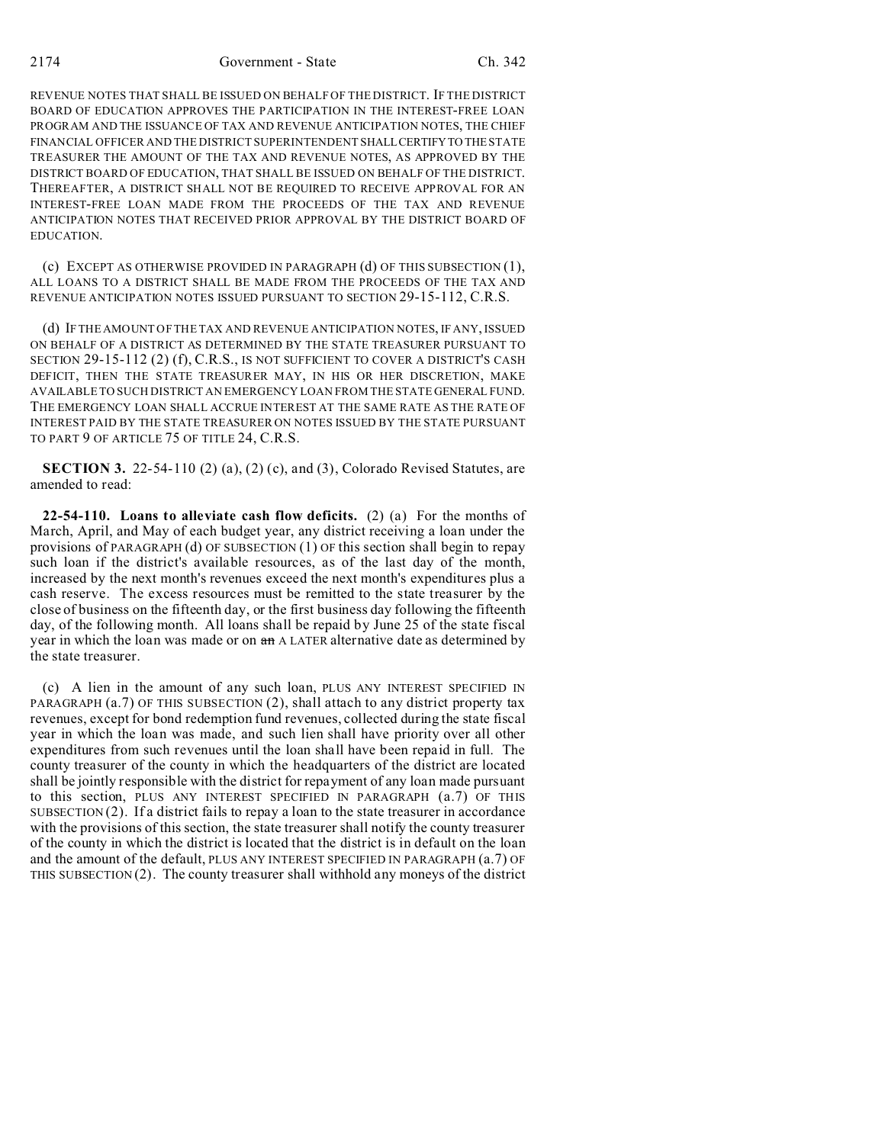REVENUE NOTES THAT SHALL BE ISSUED ON BEHALF OF THE DISTRICT. IF THE DISTRICT BOARD OF EDUCATION APPROVES THE PARTICIPATION IN THE INTEREST-FREE LOAN PROGRAM AND THE ISSUANCE OF TAX AND REVENUE ANTICIPATION NOTES, THE CHIEF FINANCIAL OFFICER AND THE DISTRICT SUPERINTENDENT SHALLCERTIFYTO THE STATE TREASURER THE AMOUNT OF THE TAX AND REVENUE NOTES, AS APPROVED BY THE DISTRICT BOARD OF EDUCATION, THAT SHALL BE ISSUED ON BEHALF OF THE DISTRICT. THEREAFTER, A DISTRICT SHALL NOT BE REQUIRED TO RECEIVE APPROVAL FOR AN INTEREST-FREE LOAN MADE FROM THE PROCEEDS OF THE TAX AND REVENUE ANTICIPATION NOTES THAT RECEIVED PRIOR APPROVAL BY THE DISTRICT BOARD OF EDUCATION.

(c) EXCEPT AS OTHERWISE PROVIDED IN PARAGRAPH (d) OF THIS SUBSECTION (1), ALL LOANS TO A DISTRICT SHALL BE MADE FROM THE PROCEEDS OF THE TAX AND REVENUE ANTICIPATION NOTES ISSUED PURSUANT TO SECTION 29-15-112, C.R.S.

(d) IF THE AMOUNT OF THE TAX AND REVENUE ANTICIPATION NOTES, IF ANY, ISSUED ON BEHALF OF A DISTRICT AS DETERMINED BY THE STATE TREASURER PURSUANT TO SECTION 29-15-112 (2) (f), C.R.S., IS NOT SUFFICIENT TO COVER A DISTRICT'S CASH DEFICIT, THEN THE STATE TREASURER MAY, IN HIS OR HER DISCRETION, MAKE AVAILABLE TO SUCH DISTRICT AN EMERGENCY LOAN FROM THE STATE GENERAL FUND. THE EMERGENCY LOAN SHALL ACCRUE INTEREST AT THE SAME RATE AS THE RATE OF INTEREST PAID BY THE STATE TREASURER ON NOTES ISSUED BY THE STATE PURSUANT TO PART 9 OF ARTICLE 75 OF TITLE 24, C.R.S.

**SECTION 3.** 22-54-110 (2) (a), (2) (c), and (3), Colorado Revised Statutes, are amended to read:

**22-54-110. Loans to alleviate cash flow deficits.** (2) (a) For the months of March, April, and May of each budget year, any district receiving a loan under the provisions of PARAGRAPH (d) OF SUBSECTION (1) OF this section shall begin to repay such loan if the district's available resources, as of the last day of the month, increased by the next month's revenues exceed the next month's expenditures plus a cash reserve. The excess resources must be remitted to the state treasurer by the close of business on the fifteenth day, or the first business day following the fifteenth day, of the following month. All loans shall be repaid by June 25 of the state fiscal year in which the loan was made or on an A LATER alternative date as determined by the state treasurer.

(c) A lien in the amount of any such loan, PLUS ANY INTEREST SPECIFIED IN PARAGRAPH (a.7) OF THIS SUBSECTION (2), shall attach to any district property tax revenues, except for bond redemption fund revenues, collected during the state fiscal year in which the loan was made, and such lien shall have priority over all other expenditures from such revenues until the loan shall have been repaid in full. The county treasurer of the county in which the headquarters of the district are located shall be jointly responsible with the district for repayment of any loan made pursuant to this section, PLUS ANY INTEREST SPECIFIED IN PARAGRAPH (a.7) OF THIS SUBSECTION (2). If a district fails to repay a loan to the state treasurer in accordance with the provisions of this section, the state treasurer shall notify the county treasurer of the county in which the district is located that the district is in default on the loan and the amount of the default, PLUS ANY INTEREST SPECIFIED IN PARAGRAPH (a.7) OF THIS SUBSECTION  $(2)$ . The county treasurer shall withhold any moneys of the district